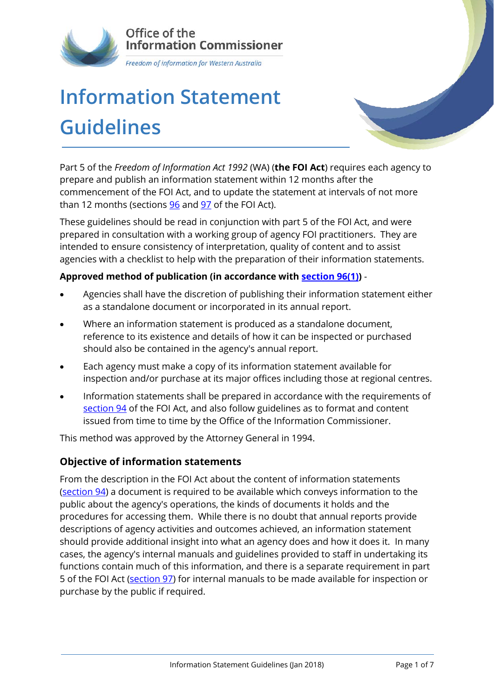

# **Information Statement Guidelines**

Part 5 of the *Freedom of Information Act 1992* (WA) (**the FOI Act**) requires each agency to prepare and publish an information statement within 12 months after the commencement of the FOI Act, and to update the statement at intervals of not more than 12 months (sections [96](http://www.austlii.edu.au/au/legis/wa/consol_act/foia1992222/s96.html) and [97](http://www.austlii.edu.au/au/legis/wa/consol_act/foia1992222/s97.html) of the FOI Act).

These guidelines should be read in conjunction with part 5 of the FOI Act, and were prepared in consultation with a working group of agency FOI practitioners. They are intended to ensure consistency of interpretation, quality of content and to assist agencies with a checklist to help with the preparation of their information statements.

#### **Approved method of publication (in accordance with [section 96\(1\)\)](http://www.austlii.edu.au/au/legis/wa/consol_act/foia1992222/s96.html)** -

- Agencies shall have the discretion of publishing their information statement either as a standalone document or incorporated in its annual report.
- Where an information statement is produced as a standalone document, reference to its existence and details of how it can be inspected or purchased should also be contained in the agency's annual report.
- Each agency must make a copy of its information statement available for inspection and/or purchase at its major offices including those at regional centres.
- Information statements shall be prepared in accordance with the requirements of [section 94](http://www.austlii.edu.au/au/legis/wa/consol_act/foia1992222/s94.html) of the FOI Act, and also follow guidelines as to format and content issued from time to time by the Office of the Information Commissioner.

This method was approved by the Attorney General in 1994.

#### **Objective of information statements**

From the description in the FOI Act about the content of information statements [\(section](http://www.austlii.edu.au/au/legis/wa/consol_act/foia1992222/s94.html) 94) a document is required to be available which conveys information to the public about the agency's operations, the kinds of documents it holds and the procedures for accessing them. While there is no doubt that annual reports provide descriptions of agency activities and outcomes achieved, an information statement should provide additional insight into what an agency does and how it does it. In many cases, the agency's internal manuals and guidelines provided to staff in undertaking its functions contain much of this information, and there is a separate requirement in part 5 of the FOI Act [\(section 97\)](http://www.austlii.edu.au/au/legis/wa/consol_act/foia1992222/s97.html) for internal manuals to be made available for inspection or purchase by the public if required.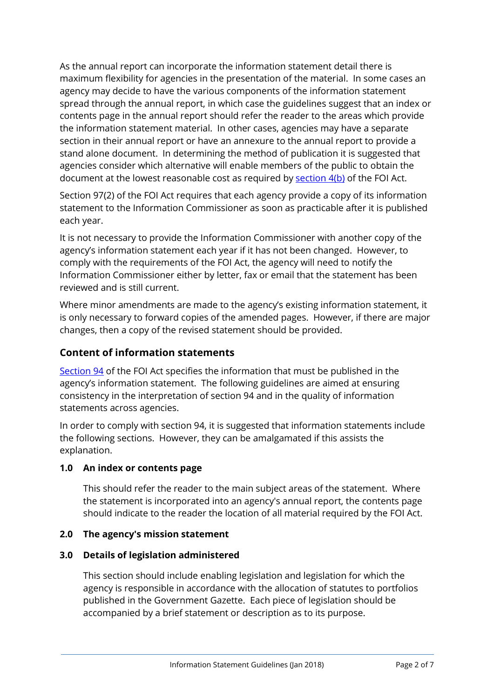As the annual report can incorporate the information statement detail there is maximum flexibility for agencies in the presentation of the material. In some cases an agency may decide to have the various components of the information statement spread through the annual report, in which case the guidelines suggest that an index or contents page in the annual report should refer the reader to the areas which provide the information statement material. In other cases, agencies may have a separate section in their annual report or have an annexure to the annual report to provide a stand alone document. In determining the method of publication it is suggested that agencies consider which alternative will enable members of the public to obtain the document at the lowest reasonable cost as required by [section 4\(b\)](http://www.austlii.edu.au/au/legis/wa/consol_act/foia1992222/s4.html) of the FOI Act.

Section 97(2) of the FOI Act requires that each agency provide a copy of its information statement to the Information Commissioner as soon as practicable after it is published each year.

It is not necessary to provide the Information Commissioner with another copy of the agency's information statement each year if it has not been changed. However, to comply with the requirements of the FOI Act, the agency will need to notify the Information Commissioner either by letter, fax or email that the statement has been reviewed and is still current.

Where minor amendments are made to the agency's existing information statement, it is only necessary to forward copies of the amended pages. However, if there are major changes, then a copy of the revised statement should be provided.

## **Content of information statements**

[Section 94](http://www.austlii.edu.au/au/legis/wa/consol_act/foia1992222/s94.html) of the FOI Act specifies the information that must be published in the agency's information statement. The following guidelines are aimed at ensuring consistency in the interpretation of section 94 and in the quality of information statements across agencies.

In order to comply with section 94, it is suggested that information statements include the following sections. However, they can be amalgamated if this assists the explanation.

#### **1.0 An index or contents page**

This should refer the reader to the main subject areas of the statement. Where the statement is incorporated into an agency's annual report, the contents page should indicate to the reader the location of all material required by the FOI Act.

#### **2.0 The agency's mission statement**

#### **3.0 Details of legislation administered**

This section should include enabling legislation and legislation for which the agency is responsible in accordance with the allocation of statutes to portfolios published in the Government Gazette. Each piece of legislation should be accompanied by a brief statement or description as to its purpose.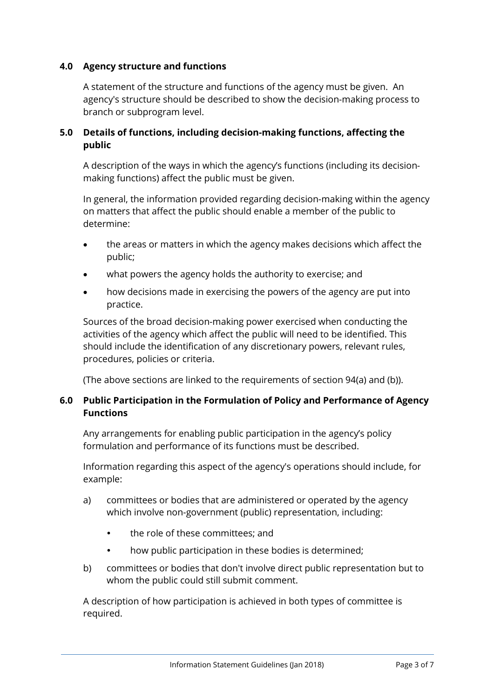#### **4.0 Agency structure and functions**

A statement of the structure and functions of the agency must be given. An agency's structure should be described to show the decision-making process to branch or subprogram level.

#### **5.0 Details of functions, including decision-making functions, affecting the public**

A description of the ways in which the agency's functions (including its decisionmaking functions) affect the public must be given.

In general, the information provided regarding decision-making within the agency on matters that affect the public should enable a member of the public to determine:

- the areas or matters in which the agency makes decisions which affect the public;
- what powers the agency holds the authority to exercise; and
- how decisions made in exercising the powers of the agency are put into practice.

Sources of the broad decision-making power exercised when conducting the activities of the agency which affect the public will need to be identified. This should include the identification of any discretionary powers, relevant rules, procedures, policies or criteria.

(The above sections are linked to the requirements of section 94(a) and (b)).

#### **6.0 Public Participation in the Formulation of Policy and Performance of Agency Functions**

Any arrangements for enabling public participation in the agency's policy formulation and performance of its functions must be described.

Information regarding this aspect of the agency's operations should include, for example:

- a) committees or bodies that are administered or operated by the agency which involve non-government (public) representation, including:
	- the role of these committees; and
	- how public participation in these bodies is determined;
- b) committees or bodies that don't involve direct public representation but to whom the public could still submit comment.

A description of how participation is achieved in both types of committee is required.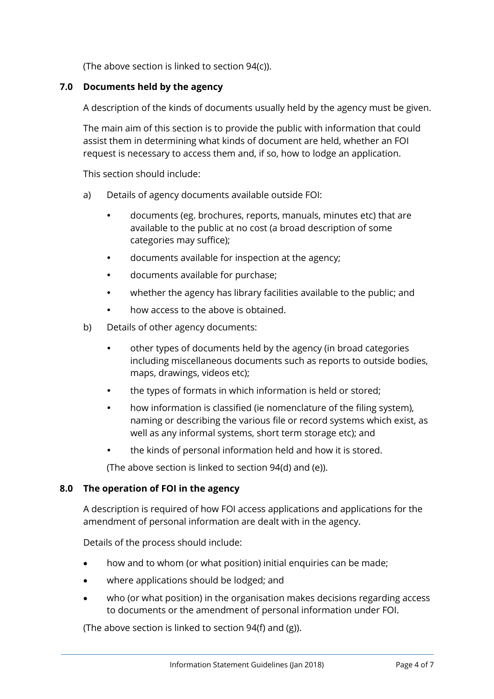(The above section is linked to section 94(c)).

#### **7.0 Documents held by the agency**

A description of the kinds of documents usually held by the agency must be given.

The main aim of this section is to provide the public with information that could assist them in determining what kinds of document are held, whether an FOI request is necessary to access them and, if so, how to lodge an application.

This section should include:

- a) Details of agency documents available outside FOI:
	- documents (eg. brochures, reports, manuals, minutes etc) that are available to the public at no cost (a broad description of some categories may suffice);
	- documents available for inspection at the agency;
	- documents available for purchase;
	- whether the agency has library facilities available to the public; and
	- how access to the above is obtained.
- b) Details of other agency documents:
	- other types of documents held by the agency (in broad categories including miscellaneous documents such as reports to outside bodies, maps, drawings, videos etc);
	- the types of formats in which information is held or stored;
	- how information is classified (ie nomenclature of the filing system), naming or describing the various file or record systems which exist, as well as any informal systems, short term storage etc); and
	- the kinds of personal information held and how it is stored.

(The above section is linked to section 94(d) and (e)).

#### **8.0 The operation of FOI in the agency**

A description is required of how FOI access applications and applications for the amendment of personal information are dealt with in the agency.

Details of the process should include:

- how and to whom (or what position) initial enquiries can be made;
- where applications should be lodged; and
- who (or what position) in the organisation makes decisions regarding access to documents or the amendment of personal information under FOI.

(The above section is linked to section 94(f) and (g)).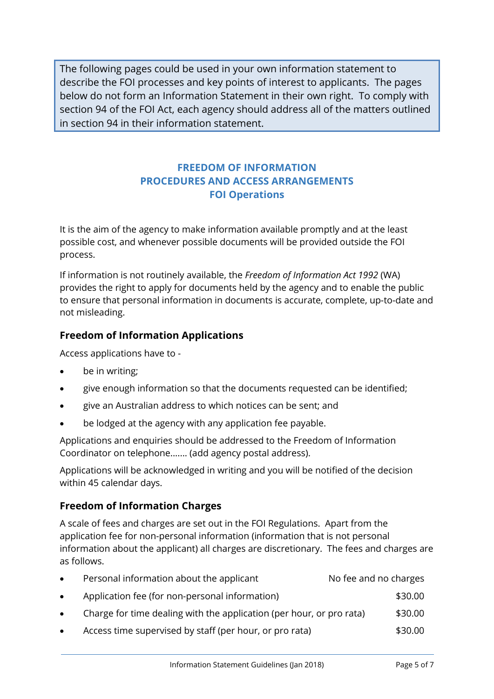The following pages could be used in your own information statement to describe the FOI processes and key points of interest to applicants. The pages below do not form an Information Statement in their own right. To comply with section 94 of the FOI Act, each agency should address all of the matters outlined in section 94 in their information statement.

# **FREEDOM OF INFORMATION PROCEDURES AND ACCESS ARRANGEMENTS FOI Operations**

It is the aim of the agency to make information available promptly and at the least possible cost, and whenever possible documents will be provided outside the FOI process.

If information is not routinely available, the *Freedom of Information Act 1992* (WA) provides the right to apply for documents held by the agency and to enable the public to ensure that personal information in documents is accurate, complete, up-to-date and not misleading.

## **Freedom of Information Applications**

Access applications have to -

- be in writing;
- give enough information so that the documents requested can be identified;
- give an Australian address to which notices can be sent; and
- be lodged at the agency with any application fee payable.

Applications and enquiries should be addressed to the Freedom of Information Coordinator on telephone....... (add agency postal address).

Applications will be acknowledged in writing and you will be notified of the decision within 45 calendar days.

## **Freedom of Information Charges**

A scale of fees and charges are set out in the FOI Regulations. Apart from the application fee for non-personal information (information that is not personal information about the applicant) all charges are discretionary. The fees and charges are as follows.

| $\bullet$ | Personal information about the applicant                             | No fee and no charges |
|-----------|----------------------------------------------------------------------|-----------------------|
| $\bullet$ | Application fee (for non-personal information)                       | \$30.00               |
| $\bullet$ | Charge for time dealing with the application (per hour, or pro rata) | \$30.00               |
| $\bullet$ | Access time supervised by staff (per hour, or pro rata)              | \$30.00               |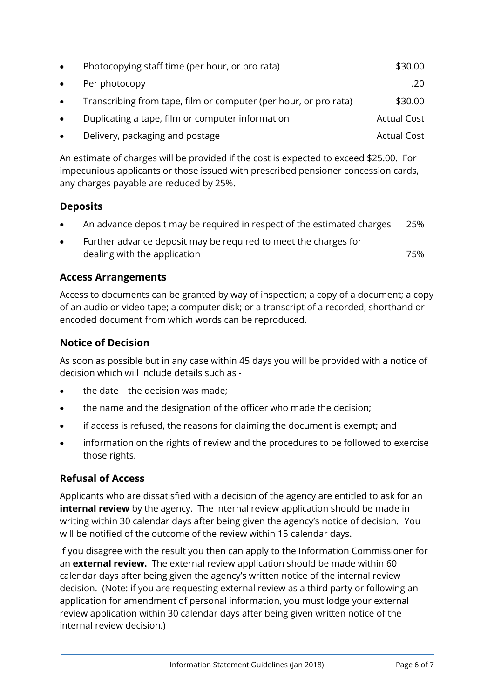| $\bullet$ | Photocopying staff time (per hour, or pro rata)                  | \$30.00            |
|-----------|------------------------------------------------------------------|--------------------|
| $\bullet$ | Per photocopy                                                    | .20                |
| $\bullet$ | Transcribing from tape, film or computer (per hour, or pro rata) | \$30.00            |
| $\bullet$ | Duplicating a tape, film or computer information                 | <b>Actual Cost</b> |
| $\bullet$ | Delivery, packaging and postage                                  | <b>Actual Cost</b> |

An estimate of charges will be provided if the cost is expected to exceed \$25.00. For impecunious applicants or those issued with prescribed pensioner concession cards, any charges payable are reduced by 25%.

## **Deposits**

- An advance deposit may be required in respect of the estimated charges 25%
- Further advance deposit may be required to meet the charges for dealing with the application **75%**

## **Access Arrangements**

Access to documents can be granted by way of inspection; a copy of a document; a copy of an audio or video tape; a computer disk; or a transcript of a recorded, shorthand or encoded document from which words can be reproduced.

## **Notice of Decision**

As soon as possible but in any case within 45 days you will be provided with a notice of decision which will include details such as -

- the date the decision was made;
- the name and the designation of the officer who made the decision;
- if access is refused, the reasons for claiming the document is exempt; and
- information on the rights of review and the procedures to be followed to exercise those rights.

## **Refusal of Access**

Applicants who are dissatisfied with a decision of the agency are entitled to ask for an **internal review** by the agency. The internal review application should be made in writing within 30 calendar days after being given the agency's notice of decision. You will be notified of the outcome of the review within 15 calendar days.

If you disagree with the result you then can apply to the Information Commissioner for an **external review.** The external review application should be made within 60 calendar days after being given the agency's written notice of the internal review decision. (Note: if you are requesting external review as a third party or following an application for amendment of personal information, you must lodge your external review application within 30 calendar days after being given written notice of the internal review decision.)